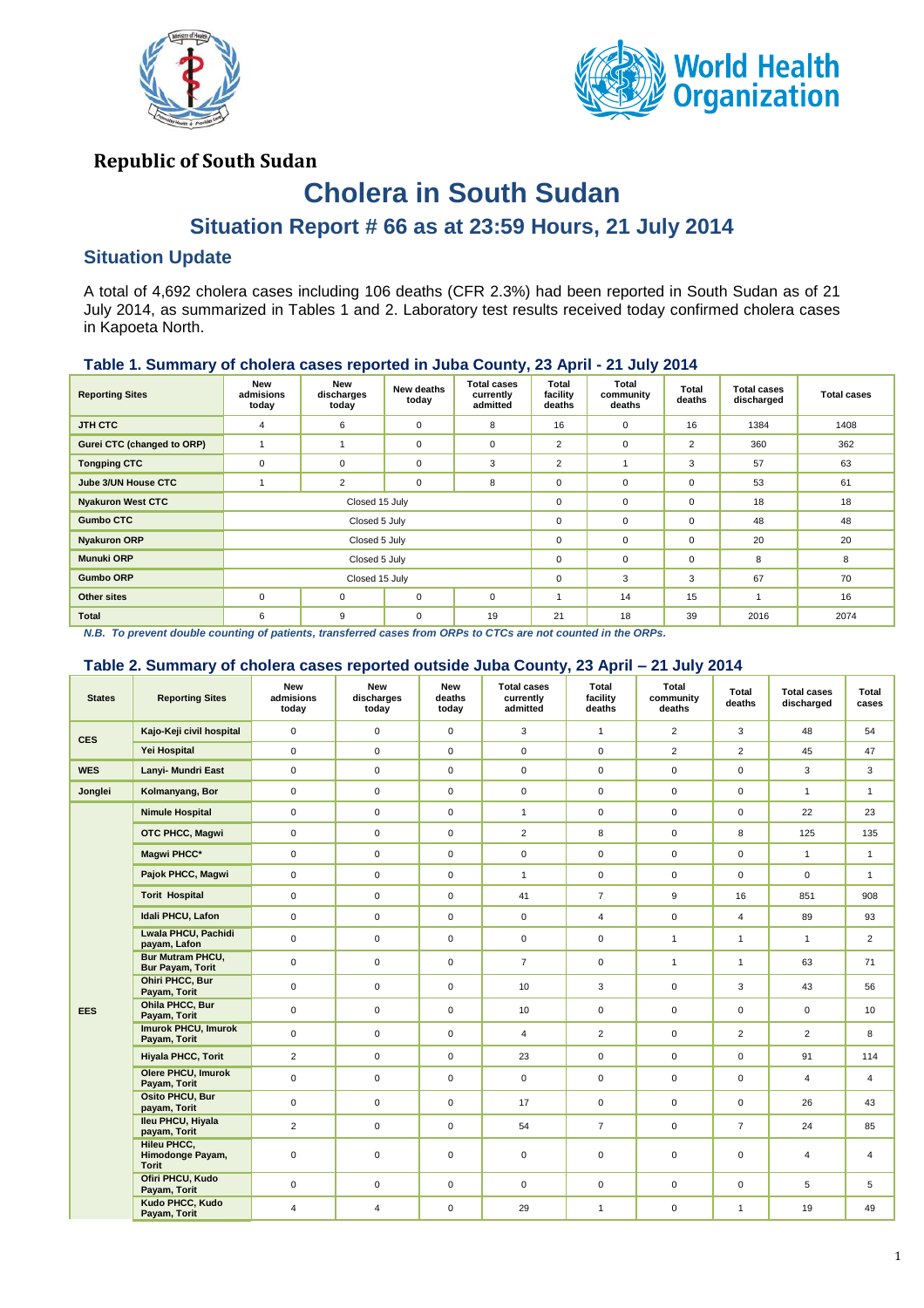



## **Republic of South Sudan**

# **Cholera in South Sudan**

# **Situation Report # 66 as at 23:59 Hours, 21 July 2014**

### **Situation Update**

A total of 4,692 cholera cases including 106 deaths (CFR 2.3%) had been reported in South Sudan as of 21 July 2014, as summarized in Tables 1 and 2. Laboratory test results received today confirmed cholera cases in Kapoeta North.

#### **Table 1. Summary of cholera cases reported in Juba County, 23 April - 21 July 2014**

| <b>Reporting Sites</b>     | New<br>admisions<br>today | New<br>discharges<br>today | New deaths<br>today | <b>Total cases</b><br>currently<br>admitted | Total<br>facility<br>deaths | Total<br>community<br>deaths | Total<br>deaths | <b>Total cases</b><br>discharged | <b>Total cases</b> |
|----------------------------|---------------------------|----------------------------|---------------------|---------------------------------------------|-----------------------------|------------------------------|-----------------|----------------------------------|--------------------|
| JTH CTC                    | 4                         | 6                          | $\mathbf 0$         | 8                                           | 16                          | $\mathbf 0$                  | 16              | 1384                             | 1408               |
| Gurei CTC (changed to ORP) |                           |                            | $\mathbf 0$         | $\mathbf 0$                                 | $\overline{2}$              | $\mathbf 0$                  | $\overline{2}$  | 360                              | 362                |
| <b>Tongping CTC</b>        | $\mathbf 0$               | $\mathbf 0$                | $\mathbf 0$         | 3                                           | $\overline{2}$              |                              | 3               | 57                               | 63                 |
| Jube 3/UN House CTC        |                           | $\overline{2}$             | $\pmb{0}$           | 8                                           | $\mathbf 0$                 | $\mathbf 0$                  | $\mathbf 0$     | 53                               | 61                 |
| <b>Nyakuron West CTC</b>   |                           | Closed 15 July             |                     |                                             | $\mathbf 0$                 | $\mathbf 0$                  | $\mathbf 0$     | 18                               | 18                 |
| <b>Gumbo CTC</b>           |                           | Closed 5 July              |                     |                                             | 0                           | $\mathbf 0$                  | $\mathbf 0$     | 48                               | 48                 |
| <b>Nyakuron ORP</b>        |                           | Closed 5 July              |                     |                                             | $\mathbf 0$                 | $\mathbf 0$                  | $\mathbf 0$     | 20                               | 20                 |
| <b>Munuki ORP</b>          |                           | Closed 5 July              |                     |                                             | $\mathbf 0$                 | $\mathbf 0$                  | $\mathbf 0$     | 8                                | 8                  |
| <b>Gumbo ORP</b>           |                           | Closed 15 July             |                     |                                             | $\mathbf 0$                 | 3                            | 3               | 67                               | 70                 |
| Other sites                | $\mathbf 0$               | $\mathbf 0$                | $\mathbf 0$         | $\mathbf 0$                                 |                             | 14                           | 15              |                                  | 16                 |
| Total                      | 6                         | 9                          | 0                   | 19                                          | 21                          | 18                           | 39              | 2016                             | 2074               |

*N.B. To prevent double counting of patients, transferred cases from ORPs to CTCs are not counted in the ORPs.*

#### **Table 2. Summary of cholera cases reported outside Juba County, 23 April – 21 July 2014**

| <b>States</b> | <b>Reporting Sites</b>                                 | <b>New</b><br>admisions<br>today | <b>New</b><br>discharges<br>today | <b>New</b><br>deaths<br>today | <b>Total cases</b><br>currently<br>admitted | Total<br>facility<br>deaths | <b>Total</b><br>community<br>deaths | Total<br>deaths | <b>Total cases</b><br>discharged | Total<br>cases |
|---------------|--------------------------------------------------------|----------------------------------|-----------------------------------|-------------------------------|---------------------------------------------|-----------------------------|-------------------------------------|-----------------|----------------------------------|----------------|
| <b>CES</b>    | Kajo-Keji civil hospital                               | $\mathbf 0$                      | $\overline{0}$                    | $\mathbf 0$                   | 3                                           | $\mathbf{1}$                | $\overline{2}$                      | 3               | 48                               | 54             |
|               | Yei Hospital                                           | $\mathbf 0$                      | $\mathbf{0}$                      | $\mathbf 0$                   | $\mathbf 0$                                 | $\mathsf 0$                 | $\overline{2}$                      | $\overline{2}$  | 45                               | 47             |
| <b>WES</b>    | Lanyi- Mundri East                                     | $\mathbf 0$                      | $\mathbf 0$                       | $\mathbf 0$                   | $\mathbf 0$                                 | $\mathbf 0$                 | $\overline{0}$                      | $\mathbf 0$     | 3                                | 3              |
| Jonglei       | Kolmanyang, Bor                                        | $\mathbf 0$                      | $\mathbf 0$                       | $\mathbf 0$                   | $\mathbf 0$                                 | $\mathbf 0$                 | $\Omega$                            | $\Omega$        | $\mathbf{1}$                     | $\mathbf{1}$   |
|               | <b>Nimule Hospital</b>                                 | $\mathbf 0$                      | $\mathbf 0$                       | $\mathbf 0$                   | $\mathbf{1}$                                | $\mathbf 0$                 | $\mathbf 0$                         | $\mathbf 0$     | 22                               | 23             |
|               | OTC PHCC, Magwi                                        | $\mathbf 0$                      | $\mathbf{0}$                      | $\mathbf 0$                   | $\overline{2}$                              | 8                           | $\mathbf 0$                         | 8               | 125                              | 135            |
|               | Magwi PHCC*                                            | $\mathbf 0$                      | $\mathbf{0}$                      | $\mathbf 0$                   | $\mathbf 0$                                 | $\mathsf 0$                 | $\mathbf 0$                         | $\mathbf 0$     | $\mathbf{1}$                     | $\mathbf{1}$   |
|               | Pajok PHCC, Magwi                                      | $\mathbf 0$                      | $\mathbf{0}$                      | $\mathbf 0$                   | $\mathbf{1}$                                | 0                           | $\mathbf 0$                         | $\mathbf 0$     | $\mathbf 0$                      | $\mathbf{1}$   |
| <b>EES</b>    | <b>Torit Hospital</b>                                  | $\mathbf 0$                      | $\mathbf 0$                       | $\mathbf 0$                   | 41                                          | $\overline{7}$              | 9                                   | 16              | 851                              | 908            |
|               | Idali PHCU, Lafon                                      | $\mathbf 0$                      | $\mathbf{0}$                      | $\mathbf 0$                   | $\mathbf{0}$                                | $\overline{4}$              | $\mathbf 0$                         | $\overline{4}$  | 89                               | 93             |
|               | Lwala PHCU, Pachidi<br>payam, Lafon                    | $\mathbf 0$                      | $\mathbf 0$                       | $\mathbf 0$                   | $\mathbf 0$                                 | $\mathsf 0$                 | $\mathbf{1}$                        | $\mathbf{1}$    | $\mathbf{1}$                     | $\overline{2}$ |
|               | <b>Bur Mutram PHCU,</b><br><b>Bur Payam, Torit</b>     | $\mathbf 0$                      | $\mathbf 0$                       | $\mathbf 0$                   | $\overline{7}$                              | $\mathsf 0$                 | $\mathbf{1}$                        | $\mathbf{1}$    | 63                               | 71             |
|               | <b>Ohiri PHCC, Bur</b><br>Payam, Torit                 | $\mathbf 0$                      | $\mathbf 0$                       | $\mathbf 0$                   | 10                                          | 3                           | $\mathbf 0$                         | 3               | 43                               | 56             |
|               | Ohila PHCC, Bur<br>Payam, Torit                        | $\mathbf 0$                      | 0                                 | $\mathsf 0$                   | 10                                          | $\mathsf 0$                 | 0                                   | $\mathbf 0$     | $\mathbf 0$                      | 10             |
|               | <b>Imurok PHCU, Imurok</b><br>Payam, Torit             | $\mathbf 0$                      | $\mathbf 0$                       | $\mathbf 0$                   | $\overline{4}$                              | $\overline{2}$              | 0                                   | $\overline{2}$  | $\overline{2}$                   | 8              |
|               | <b>Hiyala PHCC, Torit</b>                              | $\overline{2}$                   | $\overline{0}$                    | $\mathbf 0$                   | 23                                          | $\mathbf 0$                 | $\mathbf 0$                         | $\mathbf 0$     | 91                               | 114            |
|               | <b>Olere PHCU, Imurok</b><br>Payam, Torit              | $\mathbf 0$                      | $\mathbf 0$                       | $\mathbf 0$                   | $\mathbf{0}$                                | $\mathbf 0$                 | $\mathbf 0$                         | $\mathbf 0$     | $\overline{4}$                   | $\overline{4}$ |
|               | <b>Osito PHCU, Bur</b><br>payam, Torit                 | $\mathsf 0$                      | $\mathbf 0$                       | $\mathbf 0$                   | 17                                          | $\pmb{0}$                   | $\mathbf 0$                         | $\mathbf 0$     | 26                               | 43             |
|               | <b>Ileu PHCU, Hiyala</b><br>payam, Torit               | $\overline{2}$                   | $\mathbf 0$                       | $\mathbf 0$                   | 54                                          | $\overline{7}$              | $\mathbf{0}$                        | $\overline{7}$  | 24                               | 85             |
|               | <b>Hileu PHCC,</b><br>Himodonge Payam,<br><b>Torit</b> | $\mathbf 0$                      | $\mathbf 0$                       | $\mathbf 0$                   | $\mathbf 0$                                 | $\mathsf 0$                 | $\mathbf 0$                         | $\mathbf 0$     | $\overline{4}$                   | $\overline{4}$ |
|               | Ofiri PHCU, Kudo<br>Payam, Torit                       | $\mathbf 0$                      | $\mathsf 0$                       | $\mathbf 0$                   | $\mathbf 0$                                 | $\mathsf 0$                 | 0                                   | $\mathbf 0$     | 5                                | 5              |
|               | Kudo PHCC, Kudo<br>Payam, Torit                        | $\overline{4}$                   | $\overline{4}$                    | $\mathbf 0$                   | 29                                          | $\mathbf{1}$                | $\mathbf 0$                         | $\mathbf{1}$    | 19                               | 49             |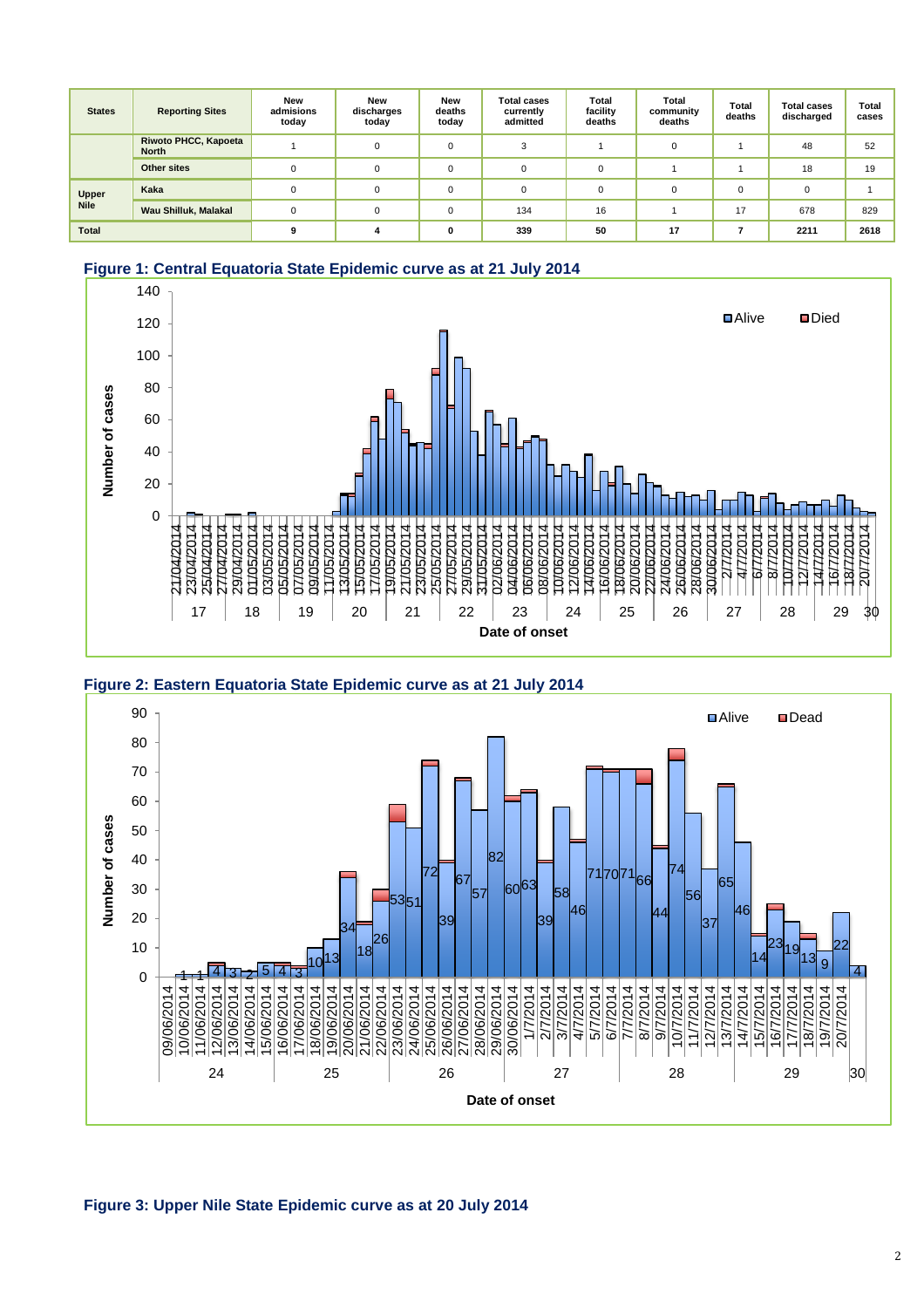| <b>States</b> | <b>Reporting Sites</b>                      | New<br>admisions<br>today | <b>New</b><br>discharges<br>today | <b>New</b><br>deaths<br>today | <b>Total cases</b><br>currently<br>admitted | Total<br>facility<br>deaths | Total<br>community<br>deaths | Total<br>deaths | <b>Total cases</b><br>discharged | Total<br>cases |
|---------------|---------------------------------------------|---------------------------|-----------------------------------|-------------------------------|---------------------------------------------|-----------------------------|------------------------------|-----------------|----------------------------------|----------------|
|               | <b>Riwoto PHCC, Kapoeta</b><br><b>North</b> |                           | $\Omega$                          | 0                             | $\sim$                                      |                             | $\Omega$                     |                 | 48                               | 52             |
|               | <b>Other sites</b>                          | $\Omega$                  | $\Omega$                          | 0                             |                                             | $\Omega$                    |                              |                 | 18                               | 19             |
| Upper         | Kaka                                        |                           | $\Omega$                          | 0                             |                                             | $\Omega$                    | $\Omega$                     | $\Omega$        | $\Omega$                         |                |
| <b>Nile</b>   | Wau Shilluk, Malakal                        | $\Omega$                  | $\Omega$                          | 0                             | 134                                         | 16                          |                              | 17              | 678                              | 829            |
| Total         |                                             |                           |                                   | 0                             | 339                                         | 50                          | 17                           |                 | 2211                             | 2618           |

#### **Figure 1: Central Equatoria State Epidemic curve as at 21 July 2014**







#### **Figure 3: Upper Nile State Epidemic curve as at 20 July 2014**